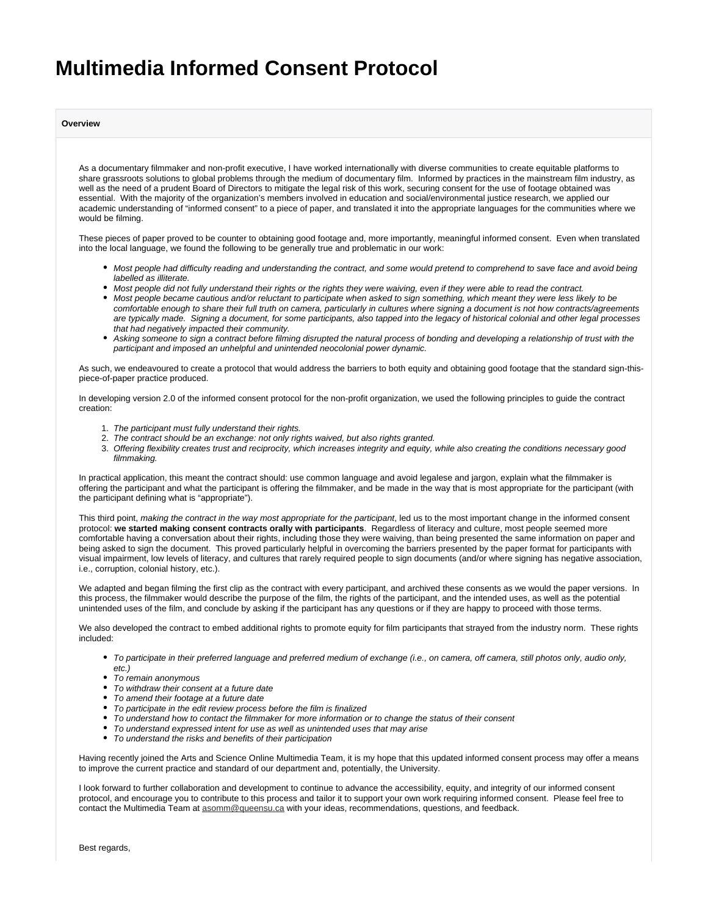# **Multimedia Informed Consent Protocol**

**Overview**

As a documentary filmmaker and non-profit executive, I have worked internationally with diverse communities to create equitable platforms to share grassroots solutions to global problems through the medium of documentary film. Informed by practices in the mainstream film industry, as well as the need of a prudent Board of Directors to mitigate the legal risk of this work, securing consent for the use of footage obtained was essential. With the majority of the organization's members involved in education and social/environmental justice research, we applied our academic understanding of "informed consent" to a piece of paper, and translated it into the appropriate languages for the communities where we would be filming.

These pieces of paper proved to be counter to obtaining good footage and, more importantly, meaningful informed consent. Even when translated into the local language, we found the following to be generally true and problematic in our work:

- Most people had difficulty reading and understanding the contract, and some would pretend to comprehend to save face and avoid being labelled as illiterate.
- Most people did not fully understand their rights or the rights they were waiving, even if they were able to read the contract.
- Most people became cautious and/or reluctant to participate when asked to sign something, which meant they were less likely to be comfortable enough to share their full truth on camera, particularly in cultures where signing a document is not how contracts/agreements are typically made. Signing a document, for some participants, also tapped into the legacy of historical colonial and other legal processes that had negatively impacted their community.
- Asking someone to sign a contract before filming disrupted the natural process of bonding and developing a relationship of trust with the participant and imposed an unhelpful and unintended neocolonial power dynamic.

As such, we endeavoured to create a protocol that would address the barriers to both equity and obtaining good footage that the standard sign-thispiece-of-paper practice produced.

In developing version 2.0 of the informed consent protocol for the non-profit organization, we used the following principles to guide the contract creation:

- 1. The participant must fully understand their rights.
- 2. The contract should be an exchange: not only rights waived, but also rights granted.
- 3. Offering flexibility creates trust and reciprocity, which increases integrity and equity, while also creating the conditions necessary good filmmaking.

In practical application, this meant the contract should: use common language and avoid legalese and jargon, explain what the filmmaker is offering the participant and what the participant is offering the filmmaker, and be made in the way that is most appropriate for the participant (with the participant defining what is "appropriate").

This third point, making the contract in the way most appropriate for the participant, led us to the most important change in the informed consent protocol: **we started making consent contracts orally with participants**. Regardless of literacy and culture, most people seemed more comfortable having a conversation about their rights, including those they were waiving, than being presented the same information on paper and being asked to sign the document. This proved particularly helpful in overcoming the barriers presented by the paper format for participants with visual impairment, low levels of literacy, and cultures that rarely required people to sign documents (and/or where signing has negative association, i.e., corruption, colonial history, etc.).

We adapted and began filming the first clip as the contract with every participant, and archived these consents as we would the paper versions. In this process, the filmmaker would describe the purpose of the film, the rights of the participant, and the intended uses, as well as the potential unintended uses of the film, and conclude by asking if the participant has any questions or if they are happy to proceed with those terms.

We also developed the contract to embed additional rights to promote equity for film participants that strayed from the industry norm. These rights included:

- To participate in their preferred language and preferred medium of exchange (i.e., on camera, off camera, still photos only, audio only, etc.)
- To remain anonymous
- To withdraw their consent at a future date
- To amend their footage at a future date
- To participate in the edit review process before the film is finalized
- To understand how to contact the filmmaker for more information or to change the status of their consent
- $\bullet$ To understand expressed intent for use as well as unintended uses that may arise
- $\bullet$ To understand the risks and benefits of their participation

Having recently joined the Arts and Science Online Multimedia Team, it is my hope that this updated informed consent process may offer a means to improve the current practice and standard of our department and, potentially, the University.

I look forward to further collaboration and development to continue to advance the accessibility, equity, and integrity of our informed consent protocol, and encourage you to contribute to this process and tailor it to support your own work requiring informed consent. Please feel free to contact the Multimedia Team at [asomm@queensu.ca](mailto:asomm@queensu.ca) with your ideas, recommendations, questions, and feedback.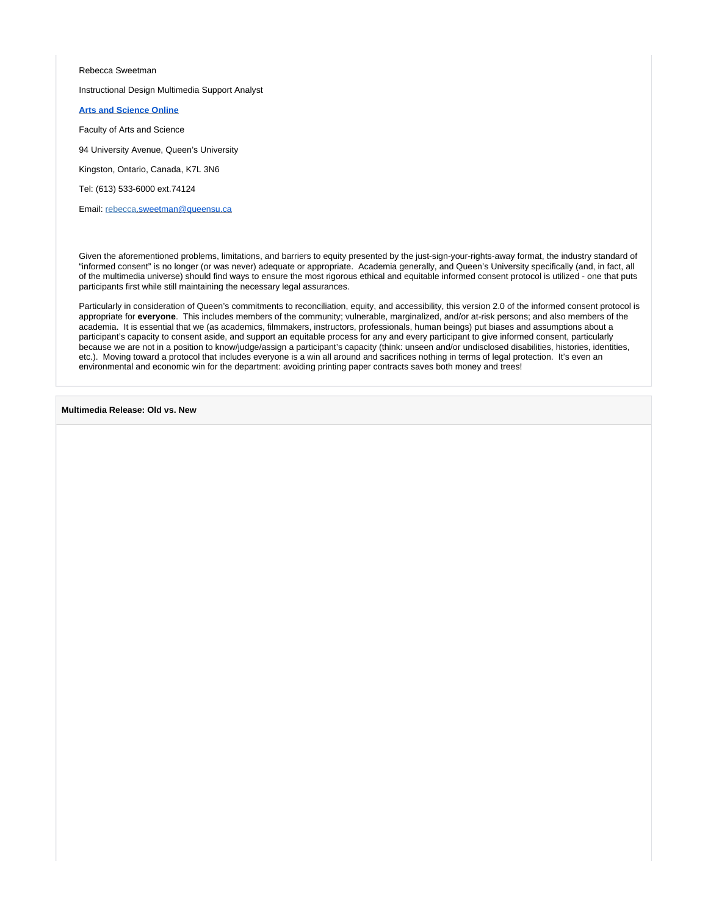#### Rebecca Sweetman

#### Instructional Design Multimedia Support Analyst

#### **[Arts and Science Online](http://www.queensu.ca/artsci_online)**

Faculty of Arts and Science

94 University Avenue, Queen's University

Kingston, Ontario, Canada, K7L 3N6

Tel: (613) 533-6000 ext.74124

Email: rebecca[.sweetman@queensu.ca](mailto:rls16@queensu.ca)

Given the aforementioned problems, limitations, and barriers to equity presented by the just-sign-your-rights-away format, the industry standard of "informed consent" is no longer (or was never) adequate or appropriate. Academia generally, and Queen's University specifically (and, in fact, all of the multimedia universe) should find ways to ensure the most rigorous ethical and equitable informed consent protocol is utilized - one that puts participants first while still maintaining the necessary legal assurances.

Particularly in consideration of Queen's commitments to reconciliation, equity, and accessibility, this version 2.0 of the informed consent protocol is appropriate for **everyone**. This includes members of the community; vulnerable, marginalized, and/or at-risk persons; and also members of the academia. It is essential that we (as academics, filmmakers, instructors, professionals, human beings) put biases and assumptions about a participant's capacity to consent aside, and support an equitable process for any and every participant to give informed consent, particularly because we are not in a position to know/judge/assign a participant's capacity (think: unseen and/or undisclosed disabilities, histories, identities, etc.). Moving toward a protocol that includes everyone is a win all around and sacrifices nothing in terms of legal protection. It's even an environmental and economic win for the department: avoiding printing paper contracts saves both money and trees!

**Multimedia Release: Old vs. New**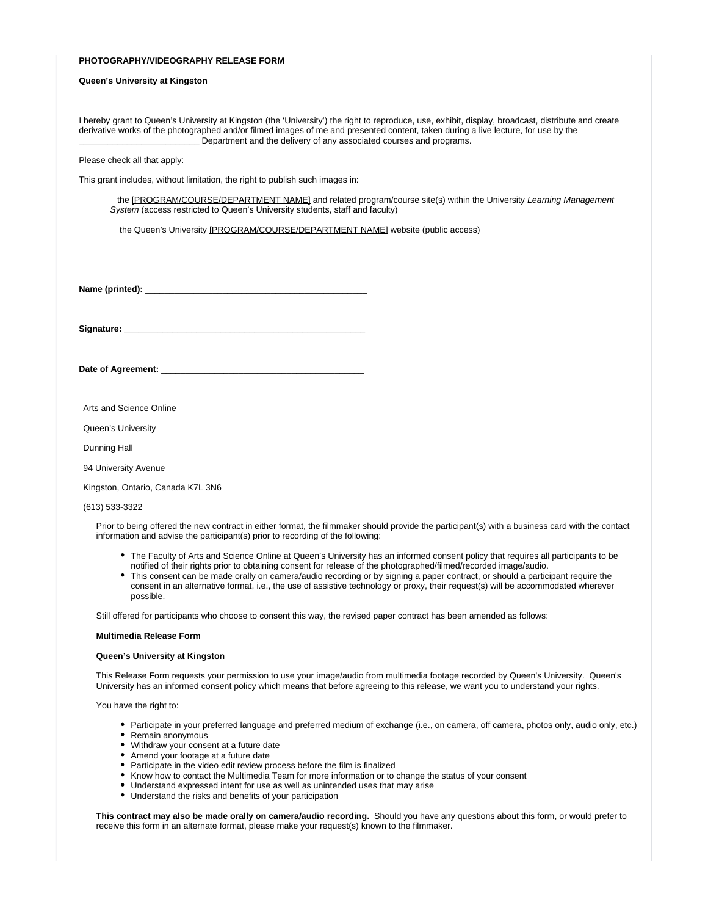#### **PHOTOGRAPHY/VIDEOGRAPHY RELEASE FORM**

#### **Queen's University at Kingston**

I hereby grant to Queen's University at Kingston (the 'University') the right to reproduce, use, exhibit, display, broadcast, distribute and create derivative works of the photographed and/or filmed images of me and presented content, taken during a live lecture, for use by the Department and the delivery of any associated courses and programs.

#### Please check all that apply:

This grant includes, without limitation, the right to publish such images in:

the [PROGRAM/COURSE/DEPARTMENT NAME] and related program/course site(s) within the University Learning Management System (access restricted to Queen's University students, staff and faculty)

the Queen's University [PROGRAM/COURSE/DEPARTMENT NAME] website (public access)

Name (printed):

Signature:

Date of Agreement: \_

Arts and Science Online

Queen's University

Dunning Hall

94 University Avenue

Kingston, Ontario, Canada K7L 3N6

(613) 533-3322

Prior to being offered the new contract in either format, the filmmaker should provide the participant(s) with a business card with the contact information and advise the participant(s) prior to recording of the following:

- The Faculty of Arts and Science Online at Queen's University has an informed consent policy that requires all participants to be notified of their rights prior to obtaining consent for release of the photographed/filmed/recorded image/audio.
- This consent can be made orally on camera/audio recording or by signing a paper contract, or should a participant require the consent in an alternative format, i.e., the use of assistive technology or proxy, their request(s) will be accommodated wherever possible.

Still offered for participants who choose to consent this way, the revised paper contract has been amended as follows:

#### **Multimedia Release Form**

#### **Queen's University at Kingston**

This Release Form requests your permission to use your image/audio from multimedia footage recorded by Queen's University. Queen's University has an informed consent policy which means that before agreeing to this release, we want you to understand your rights.

You have the right to:

- Participate in your preferred language and preferred medium of exchange (i.e., on camera, off camera, photos only, audio only, etc.)
- Remain anonymous
- Withdraw your consent at a future date
- Amend your footage at a future date
- Participate in the video edit review process before the film is finalized
- Know how to contact the Multimedia Team for more information or to change the status of your consent  $\bullet$
- Understand expressed intent for use as well as unintended uses that may arise
- Understand the risks and benefits of your participation

**This contract may also be made orally on camera/audio recording.** Should you have any questions about this form, or would prefer to receive this form in an alternate format, please make your request(s) known to the filmmaker.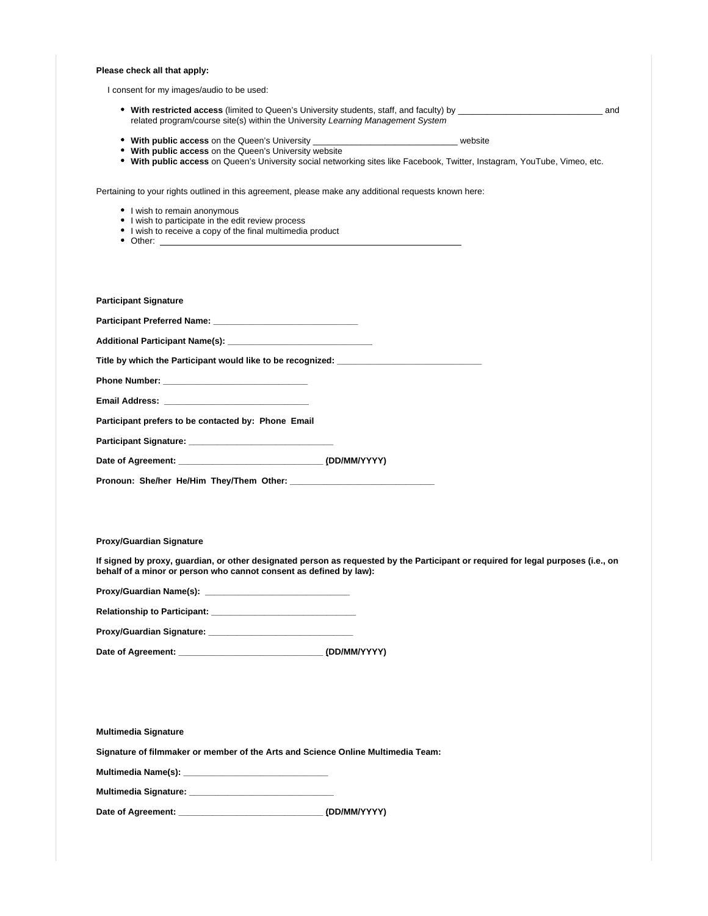**Please check all that apply:**

I consent for my images/audio to be used:

- **With restricted access** (limited to Queen's University students, staff, and faculty) by \_\_\_\_\_\_\_\_\_\_\_\_\_\_\_\_\_\_\_\_\_\_\_\_\_\_\_\_\_\_ and related program/course site(s) within the University Learning Management System
- **With public access** on the Queen's University \_\_\_\_\_\_\_\_\_\_\_\_\_\_\_\_\_\_\_\_\_\_\_\_\_\_\_\_\_\_ website
- **With public access** on the Queen's University website
- **With public access** on Queen's University social networking sites like Facebook, Twitter, Instagram, YouTube, Vimeo, etc.

Pertaining to your rights outlined in this agreement, please make any additional requests known here:

- I wish to remain anonymous
- I wish to participate in the edit review process
- I wish to receive a copy of the final multimedia product
- Other:

| <b>Participant Signature</b>                                                                                                                                                                                                   |  |
|--------------------------------------------------------------------------------------------------------------------------------------------------------------------------------------------------------------------------------|--|
|                                                                                                                                                                                                                                |  |
|                                                                                                                                                                                                                                |  |
| Title by which the Participant would like to be recognized: with the matter of the control of the control of the control of the control of the control of the control of the control of the control of the control of the cont |  |
|                                                                                                                                                                                                                                |  |
|                                                                                                                                                                                                                                |  |
| Participant prefers to be contacted by: Phone Email                                                                                                                                                                            |  |
|                                                                                                                                                                                                                                |  |
| Date of Agreement: (DD/MM/YYYY)                                                                                                                                                                                                |  |
|                                                                                                                                                                                                                                |  |
|                                                                                                                                                                                                                                |  |

**Proxy/Guardian Signature**

**If signed by proxy, guardian, or other designated person as requested by the Participant or required for legal purposes (i.e., on behalf of a minor or person who cannot consent as defined by law):**

**Proxy/Guardian Name(s): \_\_\_\_\_\_\_\_\_\_\_\_\_\_\_\_\_\_\_\_\_\_\_\_\_\_\_\_\_\_**

**Relationship to Participant: \_\_\_\_\_\_\_\_\_\_\_\_\_\_\_\_\_\_\_\_\_\_\_\_\_\_\_\_\_\_**

| <b>Proxy/Guardian Signature:</b> |  |
|----------------------------------|--|
|----------------------------------|--|

**Date of Agreement: \_\_\_\_\_\_\_\_\_\_\_\_\_\_\_\_\_\_\_\_\_\_\_\_\_\_\_\_\_\_ (DD/MM/YYYY)**

| <b>Multimedia Signature</b> |  |  |  |  |  |  |
|-----------------------------|--|--|--|--|--|--|
|-----------------------------|--|--|--|--|--|--|

**Signature of filmmaker or member of the Arts and Science Online Multimedia Team:**

**Multimedia Name(s): \_\_\_\_\_\_\_\_\_\_\_\_\_\_\_\_\_\_\_\_\_\_\_\_\_\_\_\_\_\_**

**Multimedia Signature: \_\_\_\_\_\_\_\_\_\_\_\_\_\_\_\_\_\_\_\_\_\_\_\_\_\_\_\_\_\_**

**Date of Agreement: \_\_\_\_\_\_\_\_\_\_\_\_\_\_\_\_\_\_\_\_\_\_\_\_\_\_\_\_\_\_ (DD/MM/YYYY)**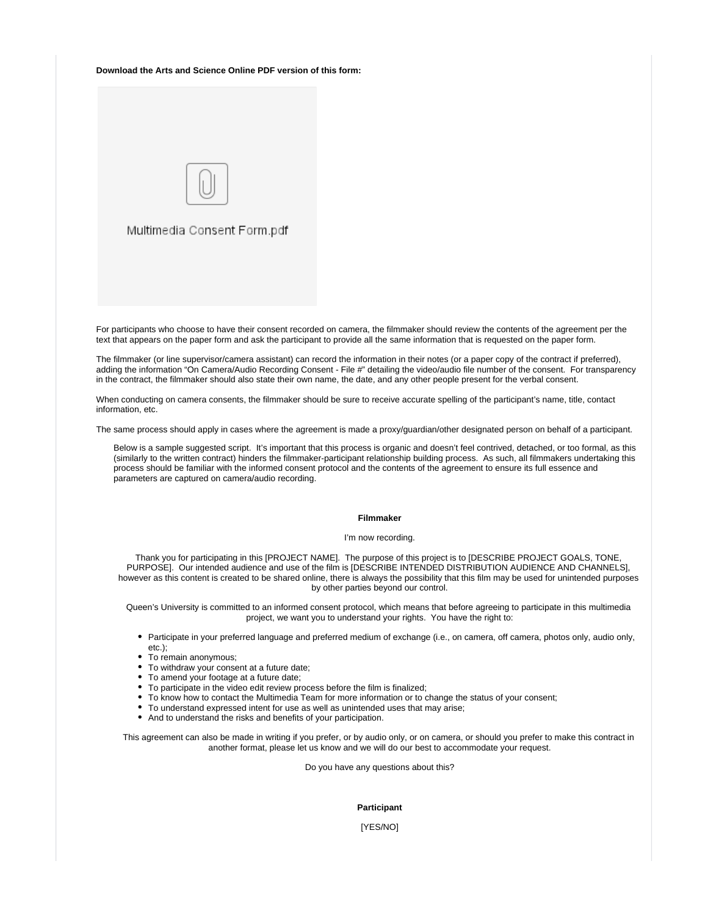#### **Download the Arts and Science Online PDF version of this form:**



For participants who choose to have their consent recorded on camera, the filmmaker should review the contents of the agreement per the text that appears on the paper form and ask the participant to provide all the same information that is requested on the paper form.

The filmmaker (or line supervisor/camera assistant) can record the information in their notes (or a paper copy of the contract if preferred), adding the information "On Camera/Audio Recording Consent - File #" detailing the video/audio file number of the consent. For transparency in the contract, the filmmaker should also state their own name, the date, and any other people present for the verbal consent.

When conducting on camera consents, the filmmaker should be sure to receive accurate spelling of the participant's name, title, contact information, etc.

The same process should apply in cases where the agreement is made a proxy/guardian/other designated person on behalf of a participant.

Below is a sample suggested script. It's important that this process is organic and doesn't feel contrived, detached, or too formal, as this (similarly to the written contract) hinders the filmmaker-participant relationship building process. As such, all filmmakers undertaking this process should be familiar with the informed consent protocol and the contents of the agreement to ensure its full essence and parameters are captured on camera/audio recording.

#### **Filmmaker**

#### I'm now recording.

Thank you for participating in this [PROJECT NAME]. The purpose of this project is to [DESCRIBE PROJECT GOALS, TONE, PURPOSE]. Our intended audience and use of the film is [DESCRIBE INTENDED DISTRIBUTION AUDIENCE AND CHANNELS], however as this content is created to be shared online, there is always the possibility that this film may be used for unintended purposes by other parties beyond our control.

Queen's University is committed to an informed consent protocol, which means that before agreeing to participate in this multimedia project, we want you to understand your rights. You have the right to:

- Participate in your preferred language and preferred medium of exchange (i.e., on camera, off camera, photos only, audio only, etc.);
- To remain anonymous;
- To withdraw your consent at a future date;
- To amend your footage at a future date;
- To participate in the video edit review process before the film is finalized;
- To know how to contact the Multimedia Team for more information or to change the status of your consent;
- To understand expressed intent for use as well as unintended uses that may arise;
- And to understand the risks and benefits of your participation.

This agreement can also be made in writing if you prefer, or by audio only, or on camera, or should you prefer to make this contract in another format, please let us know and we will do our best to accommodate your request.

Do you have any questions about this?

### **Participant**

[YES/NO]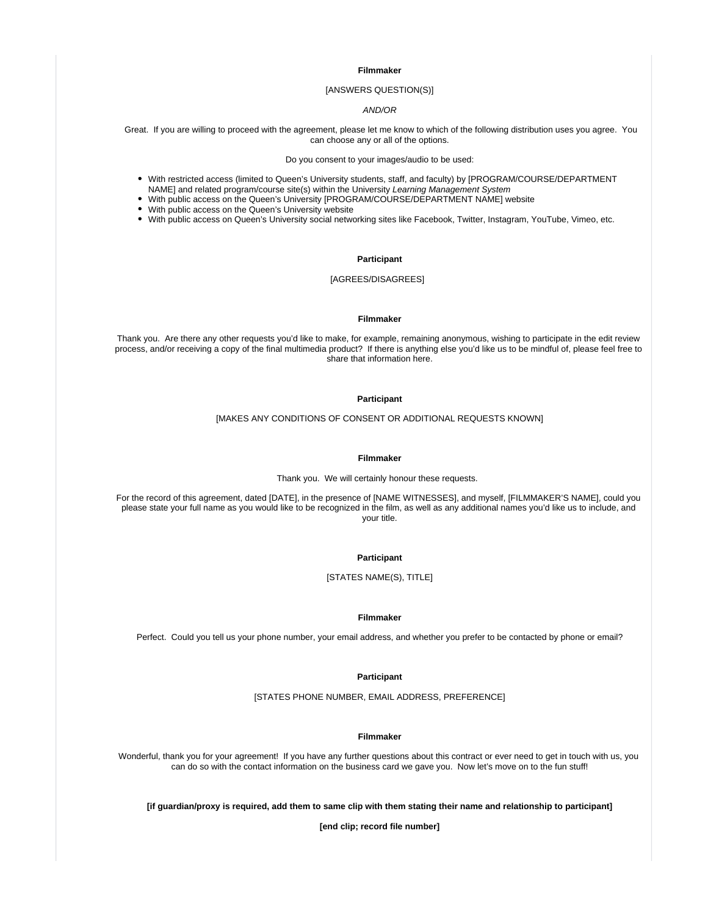**Filmmaker**

#### [ANSWERS QUESTION(S)]

## AND/OR

 Great. If you are willing to proceed with the agreement, please let me know to which of the following distribution uses you agree. You can choose any or all of the options.

Do you consent to your images/audio to be used:

- With restricted access (limited to Queen's University students, staff, and faculty) by [PROGRAM/COURSE/DEPARTMENT NAME] and related program/course site(s) within the University Learning Management System
- With public access on the Queen's University [PROGRAM/COURSE/DEPARTMENT NAME] website
- With public access on the Queen's University website
- With public access on Queen's University social networking sites like Facebook, Twitter, Instagram, YouTube, Vimeo, etc.

## **Participant**

## [AGREES/DISAGREES]

#### **Filmmaker**

Thank you. Are there any other requests you'd like to make, for example, remaining anonymous, wishing to participate in the edit review process, and/or receiving a copy of the final multimedia product? If there is anything else you'd like us to be mindful of, please feel free to share that information here.

#### **Participant**

[MAKES ANY CONDITIONS OF CONSENT OR ADDITIONAL REQUESTS KNOWN]

#### **Filmmaker**

Thank you. We will certainly honour these requests.

For the record of this agreement, dated [DATE], in the presence of [NAME WITNESSES], and myself, [FILMMAKER'S NAME], could you please state your full name as you would like to be recognized in the film, as well as any additional names you'd like us to include, and your title.

#### **Participant**

[STATES NAME(S), TITLE]

#### **Filmmaker**

Perfect. Could you tell us your phone number, your email address, and whether you prefer to be contacted by phone or email?

#### **Participant**

[STATES PHONE NUMBER, EMAIL ADDRESS, PREFERENCE]

## **Filmmaker**

Wonderful, thank you for your agreement! If you have any further questions about this contract or ever need to get in touch with us, you can do so with the contact information on the business card we gave you. Now let's move on to the fun stuff!

**[if guardian/proxy is required, add them to same clip with them stating their name and relationship to participant]**

**[end clip; record file number]**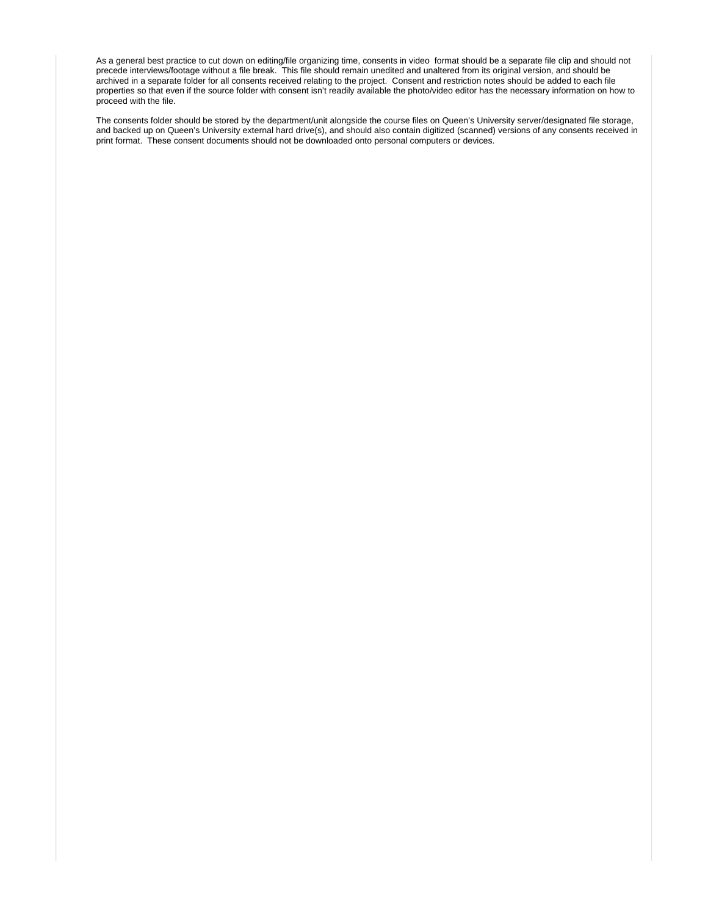As a general best practice to cut down on editing/file organizing time, consents in video format should be a separate file clip and should not precede interviews/footage without a file break. This file should remain unedited and unaltered from its original version, and should be archived in a separate folder for all consents received relating to the project. Consent and restriction notes should be added to each file properties so that even if the source folder with consent isn't readily available the photo/video editor has the necessary information on how to proceed with the file.

The consents folder should be stored by the department/unit alongside the course files on Queen's University server/designated file storage, and backed up on Queen's University external hard drive(s), and should also contain digitized (scanned) versions of any consents received in print format. These consent documents should not be downloaded onto personal computers or devices.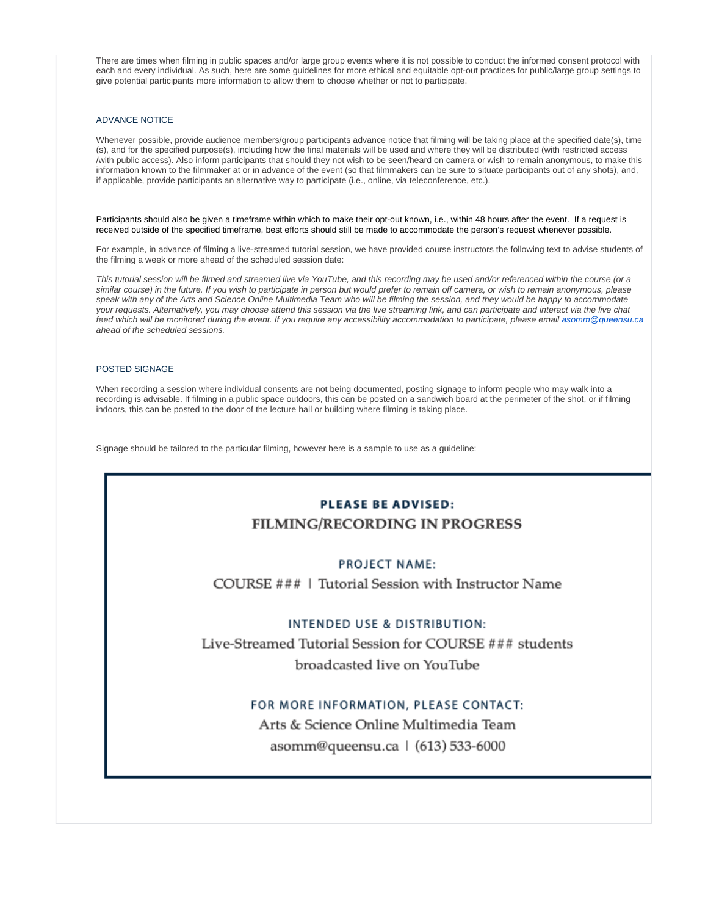There are times when filming in public spaces and/or large group events where it is not possible to conduct the informed consent protocol with each and every individual. As such, here are some guidelines for more ethical and equitable opt-out practices for public/large group settings to give potential participants more information to allow them to choose whether or not to participate.

## ADVANCE NOTICE

Whenever possible, provide audience members/group participants advance notice that filming will be taking place at the specified date(s), time (s), and for the specified purpose(s), including how the final materials will be used and where they will be distributed (with restricted access /with public access). Also inform participants that should they not wish to be seen/heard on camera or wish to remain anonymous, to make this information known to the filmmaker at or in advance of the event (so that filmmakers can be sure to situate participants out of any shots), and, if applicable, provide participants an alternative way to participate (i.e., online, via teleconference, etc.).

Participants should also be given a timeframe within which to make their opt-out known, i.e., within 48 hours after the event. If a request is received outside of the specified timeframe, best efforts should still be made to accommodate the person's request whenever possible.

For example, in advance of filming a live-streamed tutorial session, we have provided course instructors the following text to advise students of the filming a week or more ahead of the scheduled session date:

This tutorial session will be filmed and streamed live via YouTube, and this recording may be used and/or referenced within the course (or a similar course) in the future. If you wish to participate in person but would prefer to remain off camera, or wish to remain anonymous, please speak with any of the Arts and Science Online Multimedia Team who will be filming the session, and they would be happy to accommodate your requests. Alternatively, you may choose attend this session via the live streaming link, and can participate and interact via the live chat feed which will be monitored during the event. If you require any accessibility accommodation to participate, please email [asomm@queensu.ca](mailto:asomm@queensu.ca) ahead of the scheduled sessions.

#### POSTED SIGNAGE

When recording a session where individual consents are not being documented, posting signage to inform people who may walk into a recording is advisable. If filming in a public space outdoors, this can be posted on a sandwich board at the perimeter of the shot, or if filming indoors, this can be posted to the door of the lecture hall or building where filming is taking place.

Signage should be tailored to the particular filming, however here is a sample to use as a guideline:

# **PLEASE BE ADVISED: FILMING/RECORDING IN PROGRESS**

# PROJECT NAME:

COURSE ### | Tutorial Session with Instructor Name

# INTENDED USE & DISTRIBUTION:

Live-Streamed Tutorial Session for COURSE ### students broadcasted live on YouTube

# FOR MORE INFORMATION, PLEASE CONTACT:

Arts & Science Online Multimedia Team asomm@queensu.ca | (613) 533-6000